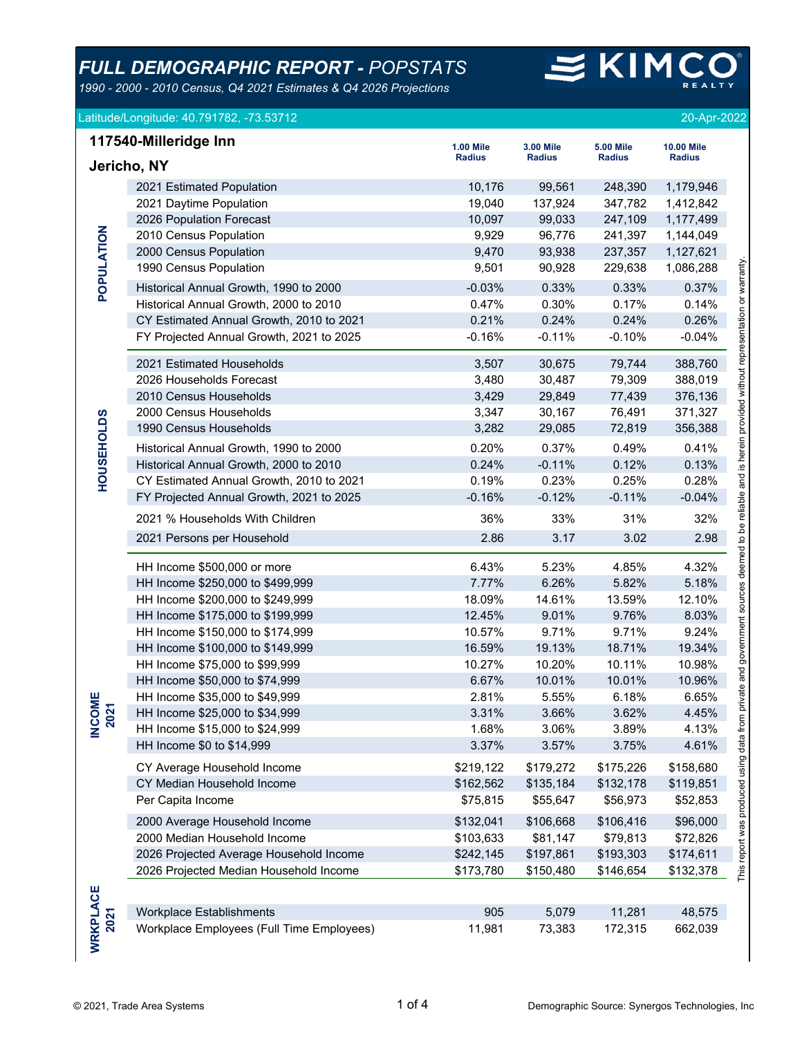*1990 - 2000 - 2010 Census, Q4 2021 Estimates & Q4 2026 Projections*

# $\leq$  KIM

| Latitude/Longitude: 40.791782, -73.53712 | 20-Apr-2022 |
|------------------------------------------|-------------|
|                                          |             |

|                    | 117540-Milleridge Inn                     | <b>1.00 Mile</b> | <b>3.00 Mile</b> | <b>5.00 Mile</b> | <b>10.00 Mile</b> |                                                                                                                 |
|--------------------|-------------------------------------------|------------------|------------------|------------------|-------------------|-----------------------------------------------------------------------------------------------------------------|
| Jericho, NY        |                                           | <b>Radius</b>    | <b>Radius</b>    | <b>Radius</b>    | <b>Radius</b>     |                                                                                                                 |
|                    | 2021 Estimated Population                 | 10,176           | 99,561           | 248,390          | 1,179,946         |                                                                                                                 |
|                    | 2021 Daytime Population                   | 19,040           | 137,924          | 347,782          | 1,412,842         |                                                                                                                 |
|                    | 2026 Population Forecast                  | 10,097           | 99,033           | 247,109          | 1,177,499         |                                                                                                                 |
|                    | 2010 Census Population                    | 9,929            | 96,776           | 241,397          | 1,144,049         |                                                                                                                 |
|                    | 2000 Census Population                    | 9,470            | 93,938           | 237,357          | 1,127,621         |                                                                                                                 |
| POPULATION         | 1990 Census Population                    | 9,501            | 90,928           | 229,638          | 1,086,288         |                                                                                                                 |
|                    | Historical Annual Growth, 1990 to 2000    | $-0.03%$         | 0.33%            | 0.33%            | 0.37%             |                                                                                                                 |
|                    | Historical Annual Growth, 2000 to 2010    | 0.47%            | 0.30%            | 0.17%            | 0.14%             |                                                                                                                 |
|                    | CY Estimated Annual Growth, 2010 to 2021  | 0.21%            | 0.24%            | 0.24%            | 0.26%             |                                                                                                                 |
|                    | FY Projected Annual Growth, 2021 to 2025  | $-0.16%$         | $-0.11%$         | $-0.10%$         | $-0.04%$          |                                                                                                                 |
|                    | 2021 Estimated Households                 | 3,507            | 30,675           | 79,744           | 388,760           |                                                                                                                 |
|                    | 2026 Households Forecast                  | 3,480            | 30,487           | 79,309           | 388,019           |                                                                                                                 |
|                    | 2010 Census Households                    | 3,429            | 29,849           | 77,439           | 376,136           |                                                                                                                 |
|                    | 2000 Census Households                    | 3,347            | 30,167           | 76,491           | 371,327           |                                                                                                                 |
|                    | 1990 Census Households                    | 3,282            | 29,085           | 72,819           | 356,388           |                                                                                                                 |
| <b>HOUSEHOLDS</b>  | Historical Annual Growth, 1990 to 2000    | 0.20%            | 0.37%            | 0.49%            | 0.41%             |                                                                                                                 |
|                    | Historical Annual Growth, 2000 to 2010    | 0.24%            | $-0.11%$         | 0.12%            | 0.13%             |                                                                                                                 |
|                    | CY Estimated Annual Growth, 2010 to 2021  | 0.19%            | 0.23%            | 0.25%            | 0.28%             |                                                                                                                 |
|                    | FY Projected Annual Growth, 2021 to 2025  | $-0.16%$         | $-0.12%$         | $-0.11%$         | $-0.04%$          |                                                                                                                 |
|                    | 2021 % Households With Children           | 36%              | 33%              | 31%              | 32%               | private and government sources deemed to be reliable and is herein provided without representation or warranty. |
|                    | 2021 Persons per Household                | 2.86             | 3.17             | 3.02             | 2.98              |                                                                                                                 |
|                    | HH Income \$500,000 or more               | 6.43%            | 5.23%            | 4.85%            | 4.32%             |                                                                                                                 |
|                    | HH Income \$250,000 to \$499,999          | 7.77%            | 6.26%            | 5.82%            | 5.18%             |                                                                                                                 |
|                    | HH Income \$200,000 to \$249,999          | 18.09%           | 14.61%           | 13.59%           | 12.10%            |                                                                                                                 |
|                    | HH Income \$175,000 to \$199,999          | 12.45%           | 9.01%            | 9.76%            | 8.03%             |                                                                                                                 |
|                    | HH Income \$150,000 to \$174,999          | 10.57%           | 9.71%            | 9.71%            | 9.24%             |                                                                                                                 |
|                    | HH Income \$100,000 to \$149,999          | 16.59%           | 19.13%           | 18.71%           | 19.34%            |                                                                                                                 |
|                    | HH Income \$75,000 to \$99,999            | 10.27%           | 10.20%           | 10.11%           | 10.98%            |                                                                                                                 |
|                    | HH Income \$50,000 to \$74,999            | 6.67%            | 10.01%           | 10.01%           | 10.96%            |                                                                                                                 |
| !W⊧<br>↽           | HH Income \$35,000 to \$49,999            | 2.81%            | 5.55%            | 6.18%            | 6.65%             |                                                                                                                 |
| <b>INCO</b><br>202 | HH Income \$25,000 to \$34,999            | 3.31%            | 3.66%            | 3.62%            | 4.45%             |                                                                                                                 |
|                    | HH Income \$15,000 to \$24,999            | 1.68%            | 3.06%            | 3.89%            | 4.13%             |                                                                                                                 |
|                    | HH Income \$0 to \$14,999                 | 3.37%            | 3.57%            | 3.75%            | 4.61%             |                                                                                                                 |
|                    | CY Average Household Income               | \$219,122        | \$179,272        | \$175,226        | \$158,680         |                                                                                                                 |
|                    | CY Median Household Income                | \$162,562        | \$135,184        | \$132,178        | \$119,851         |                                                                                                                 |
|                    | Per Capita Income                         | \$75,815         | \$55,647         | \$56,973         | \$52,853          |                                                                                                                 |
|                    | 2000 Average Household Income             | \$132,041        | \$106,668        | \$106,416        | \$96,000          | This report was produced using data from                                                                        |
|                    | 2000 Median Household Income              | \$103,633        | \$81,147         | \$79,813         | \$72,826          |                                                                                                                 |
|                    | 2026 Projected Average Household Income   | \$242,145        | \$197,861        | \$193,303        | \$174,611         |                                                                                                                 |
|                    | 2026 Projected Median Household Income    | \$173,780        | \$150,480        | \$146,654        | \$132,378         |                                                                                                                 |
|                    |                                           |                  |                  |                  |                   |                                                                                                                 |
|                    | <b>Workplace Establishments</b>           | 905              | 5,079            | 11,281           | 48,575            |                                                                                                                 |
| WRKPLACE<br>2021   | Workplace Employees (Full Time Employees) | 11,981           | 73,383           | 172,315          | 662,039           |                                                                                                                 |
|                    |                                           |                  |                  |                  |                   |                                                                                                                 |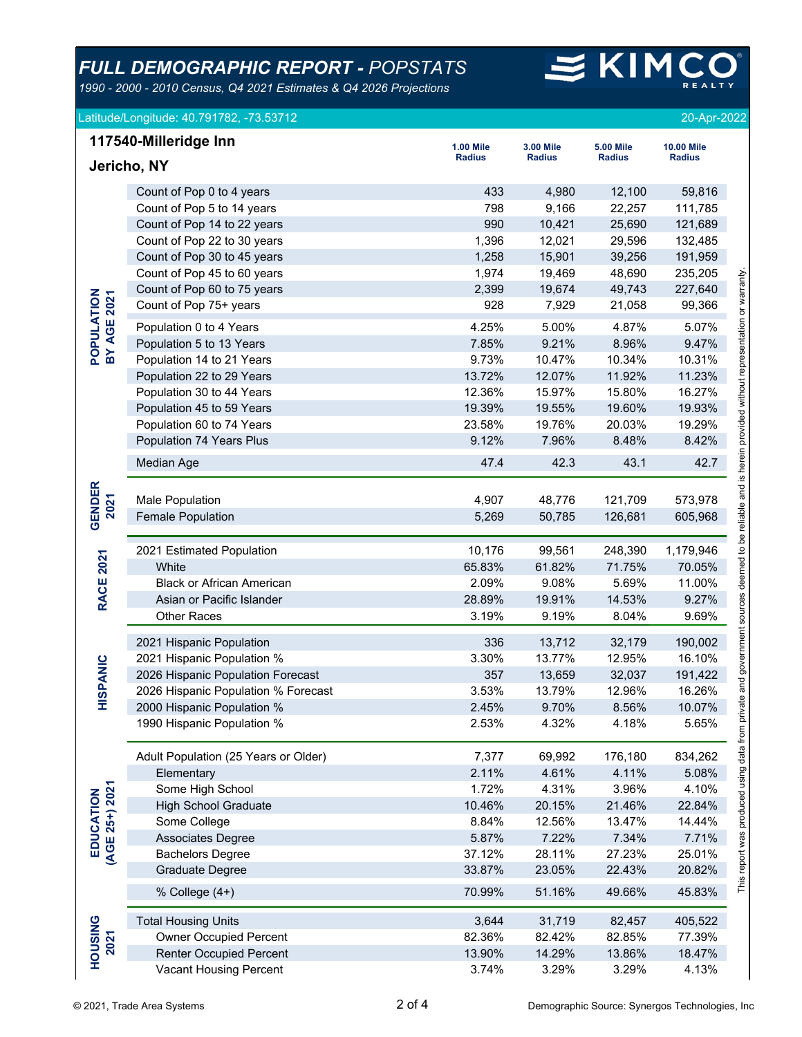*1990 - 2000 - 2010 Census, Q4 2021 Estimates & Q4 2026 Projections*

# $\leq$  KIM

#### Latitude/Longitude: 40.791782, -73.53712 20-Apr-2022

|                             | Jericho, NY                          | <b>Radius</b> | <b>Radius</b> | Radius  | Radius    |
|-----------------------------|--------------------------------------|---------------|---------------|---------|-----------|
|                             |                                      |               |               |         |           |
|                             | Count of Pop 0 to 4 years            | 433           | 4,980         | 12,100  | 59,816    |
|                             | Count of Pop 5 to 14 years           | 798           | 9,166         | 22,257  | 111,785   |
|                             | Count of Pop 14 to 22 years          | 990           | 10,421        | 25,690  | 121,689   |
|                             | Count of Pop 22 to 30 years          | 1,396         | 12,021        | 29,596  | 132,485   |
|                             | Count of Pop 30 to 45 years          | 1,258         | 15,901        | 39,256  | 191,959   |
|                             | Count of Pop 45 to 60 years          | 1,974         | 19,469        | 48,690  | 235,205   |
|                             | Count of Pop 60 to 75 years          | 2,399         | 19,674        | 49,743  | 227,640   |
|                             | Count of Pop 75+ years               | 928           | 7,929         | 21,058  | 99,366    |
| <b>BY AGE 2021</b>          | Population 0 to 4 Years              | 4.25%         | 5.00%         | 4.87%   | 5.07%     |
| POPULATION                  | Population 5 to 13 Years             | 7.85%         | 9.21%         | 8.96%   | 9.47%     |
|                             | Population 14 to 21 Years            | 9.73%         | 10.47%        | 10.34%  | 10.31%    |
|                             | Population 22 to 29 Years            | 13.72%        | 12.07%        | 11.92%  | 11.23%    |
|                             | Population 30 to 44 Years            | 12.36%        | 15.97%        | 15.80%  | 16.27%    |
|                             | Population 45 to 59 Years            | 19.39%        | 19.55%        | 19.60%  | 19.93%    |
|                             | Population 60 to 74 Years            | 23.58%        | 19.76%        | 20.03%  | 19.29%    |
|                             | Population 74 Years Plus             | 9.12%         | 7.96%         | 8.48%   | 8.42%     |
|                             | Median Age                           | 47.4          | 42.3          | 43.1    | 42.7      |
|                             |                                      |               |               |         |           |
| <b>GENDER</b><br>2021       | <b>Male Population</b>               | 4,907         | 48,776        | 121,709 | 573,978   |
|                             | <b>Female Population</b>             | 5,269         | 50,785        | 126,681 | 605,968   |
|                             | 2021 Estimated Population            | 10,176        | 99,561        | 248,390 | 1,179,946 |
| <b>RACE 2021</b>            | White                                | 65.83%        | 61.82%        | 71.75%  | 70.05%    |
|                             | <b>Black or African American</b>     | 2.09%         | 9.08%         | 5.69%   | 11.00%    |
|                             | Asian or Pacific Islander            | 28.89%        | 19.91%        | 14.53%  | 9.27%     |
|                             | <b>Other Races</b>                   | 3.19%         | 9.19%         | 8.04%   | 9.69%     |
|                             | 2021 Hispanic Population             | 336           | 13,712        | 32,179  | 190,002   |
|                             | 2021 Hispanic Population %           | 3.30%         | 13.77%        | 12.95%  | 16.10%    |
| HISPANIC                    | 2026 Hispanic Population Forecast    | 357           | 13,659        | 32,037  | 191,422   |
|                             | 2026 Hispanic Population % Forecast  | 3.53%         | 13.79%        | 12.96%  | 16.26%    |
|                             | 2000 Hispanic Population %           | 2.45%         | 9.70%         | 8.56%   | 10.07%    |
|                             | 1990 Hispanic Population %           | 2.53%         | 4.32%         | 4.18%   | 5.65%     |
|                             | Adult Population (25 Years or Older) | 7,377         | 69,992        | 176,180 | 834,262   |
|                             | Elementary                           | 2.11%         | 4.61%         | 4.11%   | 5.08%     |
|                             | Some High School                     | 1.72%         | 4.31%         | 3.96%   | 4.10%     |
| EDUCATION<br>(AGE 25+) 2021 | <b>High School Graduate</b>          | 10.46%        | 20.15%        | 21.46%  | 22.84%    |
|                             | Some College                         | 8.84%         | 12.56%        | 13.47%  | 14.44%    |
|                             | <b>Associates Degree</b>             | 5.87%         | 7.22%         | 7.34%   | 7.71%     |
|                             | <b>Bachelors Degree</b>              | 37.12%        | 28.11%        | 27.23%  | 25.01%    |
|                             | Graduate Degree                      | 33.87%        | 23.05%        | 22.43%  | 20.82%    |
|                             | % College (4+)                       | 70.99%        | 51.16%        | 49.66%  | 45.83%    |
|                             | <b>Total Housing Units</b>           | 3,644         | 31,719        | 82,457  | 405,522   |
|                             | <b>Owner Occupied Percent</b>        | 82.36%        | 82.42%        | 82.85%  | 77.39%    |
| 2021                        | <b>Renter Occupied Percent</b>       | 13.90%        | 14.29%        | 13.86%  | 18.47%    |
| <b>HOUSING</b>              | Vacant Housing Percent               | 3.74%         | 3.29%         | 3.29%   | 4.13%     |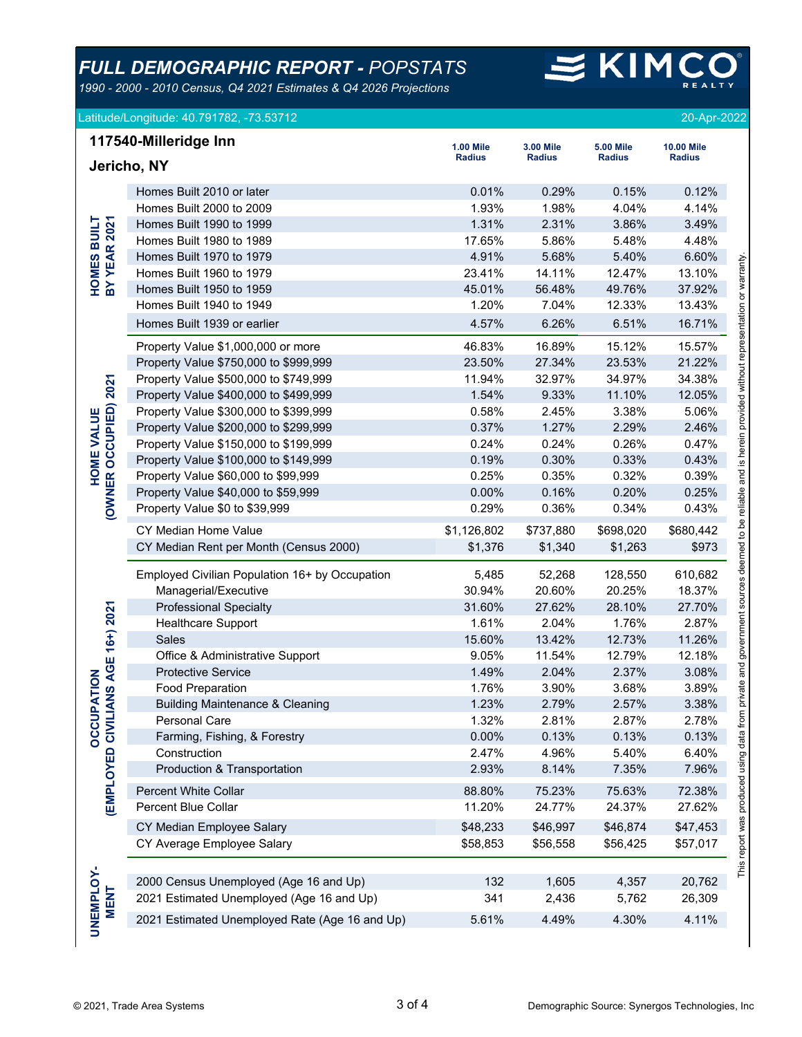*1990 - 2000 - 2010 Census, Q4 2021 Estimates & Q4 2026 Projections*

### $\leq$  KIM **REALTY**

|                                     | Latitude/Longitude: 40.791782, -73.53712 |                  |               |                  | 20-Apr-2022       |           |
|-------------------------------------|------------------------------------------|------------------|---------------|------------------|-------------------|-----------|
|                                     | 117540-Milleridge Inn                    | <b>1.00 Mile</b> | 3.00 Mile     | <b>5.00 Mile</b> | <b>10.00 Mile</b> |           |
| Jericho, NY                         | <b>Radius</b>                            | <b>Radius</b>    | <b>Radius</b> | <b>Radius</b>    |                   |           |
|                                     | Homes Built 2010 or later                | 0.01%            | 0.29%         | 0.15%            | 0.12%             |           |
|                                     | Homes Built 2000 to 2009                 | 1.93%            | 1.98%         | 4.04%            | 4.14%             |           |
|                                     | Homes Built 1990 to 1999                 | 1.31%            | 2.31%         | 3.86%            | 3.49%             |           |
|                                     | Homes Built 1980 to 1989                 | 17.65%           | 5.86%         | 5.48%            | 4.48%             |           |
| <b>HOMES BUILT<br/>BY YEAR 2021</b> | Homes Built 1970 to 1979                 | 4.91%            | 5.68%         | 5.40%            | 6.60%             |           |
|                                     | Homes Built 1960 to 1979                 | 23.41%           | 14.11%        | 12.47%           | 13.10%            | warranty. |
|                                     | Homes Built 1950 to 1959                 | 45.01%           | 56.48%        | 49.76%           | 37.92%            | ৯         |
|                                     | Homes Built 1940 to 1949                 | 1.20%            | 7.04%         | 12.33%           | 13.43%            | tation    |
|                                     | Homes Built 1939 or earlier              | 4.57%            | 6 26%         | 6.51%            | 16 71%            |           |

| <b>HOMES BUILT</b>                          | Homes Built 1990 to 1999                                                            | 1.31%       | 2.31%     | 3.86%                                          | 3.49%     |
|---------------------------------------------|-------------------------------------------------------------------------------------|-------------|-----------|------------------------------------------------|-----------|
| <b>BY YEAR 2021</b>                         | Homes Built 1980 to 1989                                                            | 17.65%      | 5.86%     | 5.48%                                          | 4.48%     |
|                                             | Homes Built 1970 to 1979                                                            | 4.91%       | 5.68%     | 5.40%                                          | 6.60%     |
|                                             | Homes Built 1960 to 1979                                                            | 23.41%      | 14.11%    | 12.47%                                         | 13.10%    |
|                                             | Homes Built 1950 to 1959                                                            | 45.01%      | 56.48%    | 49.76%                                         | 37.92%    |
|                                             | Homes Built 1940 to 1949                                                            | 1.20%       | 7.04%     | 12.33%                                         | 13.43%    |
|                                             | Homes Built 1939 or earlier                                                         | 4.57%       | 6.26%     | 6.51%                                          | 16.71%    |
|                                             | Property Value \$1,000,000 or more                                                  | 46.83%      | 16.89%    | 15.12%                                         | 15.57%    |
|                                             | Property Value \$750,000 to \$999,999                                               | 23.50%      | 27.34%    | 23.53%                                         | 21.22%    |
|                                             | Property Value \$500,000 to \$749,999                                               | 11.94%      | 32.97%    | 34.97%                                         | 34.38%    |
|                                             | Property Value \$400,000 to \$499,999                                               | 1.54%       | 9.33%     | 11.10%                                         | 12.05%    |
|                                             | Property Value \$300,000 to \$399,999                                               | 0.58%       | 2.45%     | 3.38%                                          | 5.06%     |
|                                             | Property Value \$200,000 to \$299,999                                               | 0.37%       | 1.27%     | 2.29%                                          | 2.46%     |
|                                             | Property Value \$150,000 to \$199,999                                               | 0.24%       | 0.24%     | 0.26%                                          | 0.47%     |
|                                             | Property Value \$100,000 to \$149,999                                               | 0.19%       | 0.30%     | 0.33%                                          | 0.43%     |
|                                             | Property Value \$60,000 to \$99,999                                                 | 0.25%       | 0.35%     | 0.32%                                          | 0.39%     |
|                                             | Property Value \$40,000 to \$59,999                                                 | 0.00%       | 0.16%     | 0.20%                                          | 0.25%     |
| <b>HOME VALUE<br/>(OWNER OCCUPIED) 2021</b> | Property Value \$0 to \$39,999                                                      | 0.29%       | 0.36%     | 0.34%                                          | 0.43%     |
|                                             | CY Median Home Value                                                                | \$1,126,802 | \$737,880 | \$698,020                                      | \$680,442 |
|                                             | CY Median Rent per Month (Census 2000)                                              | \$1,376     | \$1,340   | \$1,263                                        | \$973     |
|                                             | Employed Civilian Population 16+ by Occupation                                      | 5,485       | 52,268    | 128,550                                        | 610,682   |
|                                             | Managerial/Executive                                                                | 30.94%      | 20.60%    | 20.25%                                         | 18.37%    |
|                                             | <b>Professional Specialty</b>                                                       | 31.60%      | 27.62%    | 28.10%                                         | 27.70%    |
|                                             | Healthcare Support                                                                  | 1.61%       | 2.04%     | 1.76%                                          | 2.87%     |
|                                             | Sales                                                                               | 15.60%      | 13.42%    | 12.73%                                         | 11.26%    |
|                                             | Office & Administrative Support                                                     | 9.05%       | 11.54%    | 12.79%                                         | 12.18%    |
|                                             | <b>Protective Service</b>                                                           | 1.49%       | 2.04%     | 2.37%                                          | 3.08%     |
|                                             | <b>Food Preparation</b>                                                             | 1.76%       | 3.90%     | 3.68%                                          | 3.89%     |
|                                             | <b>Building Maintenance &amp; Cleaning</b>                                          | 1.23%       | 2.79%     | 2.57%                                          | 3.38%     |
|                                             | Personal Care                                                                       | 1.32%       | 2.81%     | 2.87%                                          | 2.78%     |
|                                             | Farming, Fishing, & Forestry                                                        | 0.00%       | 0.13%     | 0.13%                                          | 0.13%     |
|                                             | Construction                                                                        | 2.47%       | 4.96%     | 5.40%                                          | 6.40%     |
| (EMPLOYED CIVILIANS AGE 16+) 2021           | Production & Transportation                                                         | 2.93%       | 8.14%     | 7.35%                                          | 7.96%     |
|                                             | Percent White Collar                                                                | 88.80%      | 75.23%    | 75.63%                                         | 72.38%    |
|                                             | Percent Blue Collar                                                                 | 11.20%      | 24.77%    | 24.37%                                         | 27.62%    |
|                                             | CY Median Employee Salary                                                           | \$48,233    | \$46,997  | \$46,874                                       | \$47,453  |
|                                             | CY Average Employee Salary                                                          | \$58,853    | \$56,558  | \$56,425                                       | \$57,017  |
|                                             |                                                                                     |             |           |                                                |           |
|                                             | 2000 Census Unemployed (Age 16 and Up)<br>2021 Estimated Unemployed (Age 16 and Up) | 132         | 1,605     | 4,357                                          | 20,762    |
| <b>MENT</b>                                 |                                                                                     | 341         | 2,436     | 5,762                                          | 26,309    |
|                                             | 2021 Estimated Unemployed Rate (Age 16 and Up)                                      | 5.61%       | 4.49%     | 4.30%                                          | 4.11%     |
| UNEMPLOY-                                   |                                                                                     |             |           |                                                |           |
|                                             | 3 of 4<br>© 2021, Trade Area Systems                                                |             |           | Demographic Source: Synergos Technologies, Inc |           |